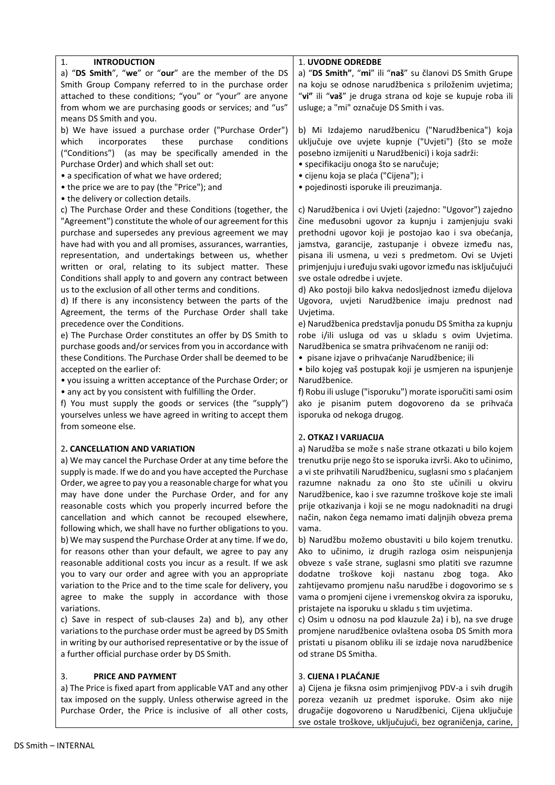| 1.<br><b>INTRODUCTION</b>                                      | 1. UVODNE ODREDBE                                           |
|----------------------------------------------------------------|-------------------------------------------------------------|
| a) "DS Smith", "we" or "our" are the member of the DS          | a) "DS Smith", "mi" ili "naš" su članovi DS Smith Grupe     |
| Smith Group Company referred to in the purchase order          | na koju se odnose narudžbenica s priloženim uvjetima;       |
| attached to these conditions; "you" or "your" are anyone       | "vi" ili "vaš" je druga strana od koje se kupuje roba ili   |
| from whom we are purchasing goods or services; and "us"        | usluge; a "mi" označuje DS Smith i vas.                     |
| means DS Smith and you.                                        |                                                             |
| b) We have issued a purchase order ("Purchase Order")          | b) Mi Izdajemo narudžbenicu ("Narudžbenica") koja           |
| which<br>incorporates<br>these<br>purchase<br>conditions       | uključuje ove uvjete kupnje ("Uvjeti") (što se može         |
| ("Conditions") (as may be specifically amended in the          | posebno izmijeniti u Narudžbenici) i koja sadrži:           |
| Purchase Order) and which shall set out:                       | · specifikaciju onoga što se naručuje;                      |
|                                                                |                                                             |
| • a specification of what we have ordered;                     | · cijenu koja se plaća ("Cijena"); i                        |
| • the price we are to pay (the "Price"); and                   | · pojedinosti isporuke ili preuzimanja.                     |
| • the delivery or collection details.                          |                                                             |
| c) The Purchase Order and these Conditions (together, the      | c) Narudžbenica i ovi Uvjeti (zajedno: "Ugovor") zajedno    |
| "Agreement") constitute the whole of our agreement for this    | čine međusobni ugovor za kupnju i zamjenjuju svaki          |
| purchase and supersedes any previous agreement we may          | prethodni ugovor koji je postojao kao i sva obećanja,       |
| have had with you and all promises, assurances, warranties,    | jamstva, garancije, zastupanje i obveze između nas,         |
| representation, and undertakings between us, whether           | pisana ili usmena, u vezi s predmetom. Ovi se Uvjeti        |
| written or oral, relating to its subject matter. These         | primjenjuju i uređuju svaki ugovor između nas isključujući  |
| Conditions shall apply to and govern any contract between      | sve ostale odredbe i uvjete.                                |
| us to the exclusion of all other terms and conditions.         | d) Ako postoji bilo kakva nedosljednost između dijelova     |
| d) If there is any inconsistency between the parts of the      | Ugovora, uvjeti Narudžbenice imaju prednost nad             |
|                                                                |                                                             |
| Agreement, the terms of the Purchase Order shall take          | Uvjetima.                                                   |
| precedence over the Conditions.                                | e) Narudžbenica predstavlja ponudu DS Smitha za kupnju      |
| e) The Purchase Order constitutes an offer by DS Smith to      | robe i/ili usluga od vas u skladu s ovim Uvjetima.          |
| purchase goods and/or services from you in accordance with     | Narudžbenica se smatra prihvaćenom ne raniji od:            |
| these Conditions. The Purchase Order shall be deemed to be     | · pisane izjave o prihvaćanje Narudžbenice; ili             |
| accepted on the earlier of:                                    | · bilo kojeg vaš postupak koji je usmjeren na ispunjenje    |
| • you issuing a written acceptance of the Purchase Order; or   | Narudžbenice.                                               |
| • any act by you consistent with fulfilling the Order.         | f) Robu ili usluge ("isporuku") morate isporučiti sami osim |
| f) You must supply the goods or services (the "supply")        | ako je pisanim putem dogovoreno da se prihvaća              |
| yourselves unless we have agreed in writing to accept them     | isporuka od nekoga drugog.                                  |
| from someone else.                                             |                                                             |
|                                                                | 2. OTKAZ I VARIJACIJA                                       |
| 2. CANCELLATION AND VARIATION                                  | a) Narudžba se može s naše strane otkazati u bilo kojem     |
|                                                                |                                                             |
| a) We may cancel the Purchase Order at any time before the     | trenutku prije nego što se isporuka izvrši. Ako to učinimo, |
| supply is made. If we do and you have accepted the Purchase    | a vi ste prihvatili Narudžbenicu, suglasni smo s plaćanjem  |
| Order, we agree to pay you a reasonable charge for what you    | razumne naknadu za ono što ste učinili u okviru             |
| may have done under the Purchase Order, and for any            | Narudžbenice, kao i sve razumne troškove koje ste imali     |
| reasonable costs which you properly incurred before the        | prije otkazivanja i koji se ne mogu nadoknaditi na drugi    |
| cancellation and which cannot be recouped elsewhere,           | način, nakon čega nemamo imati daljnjih obveza prema        |
| following which, we shall have no further obligations to you.  | vama.                                                       |
| b) We may suspend the Purchase Order at any time. If we do,    | b) Narudžbu možemo obustaviti u bilo kojem trenutku.        |
| for reasons other than your default, we agree to pay any       | Ako to učinimo, iz drugih razloga osim neispunjenja         |
| reasonable additional costs you incur as a result. If we ask   | obveze s vaše strane, suglasni smo platiti sve razumne      |
| you to vary our order and agree with you an appropriate        | dodatne troškove koji nastanu zbog toga. Ako                |
| variation to the Price and to the time scale for delivery, you | zahtijevamo promjenu našu narudžbe i dogovorimo se s        |
|                                                                |                                                             |
| agree to make the supply in accordance with those              | vama o promjeni cijene i vremenskog okvira za isporuku,     |
| variations.                                                    | pristajete na isporuku u skladu s tim uvjetima.             |
| c) Save in respect of sub-clauses 2a) and b), any other        | c) Osim u odnosu na pod klauzule 2a) i b), na sve druge     |
| variations to the purchase order must be agreed by DS Smith    | promjene narudžbenice ovlaštena osoba DS Smith mora         |
| in writing by our authorised representative or by the issue of | pristati u pisanom obliku ili se izdaje nova narudžbenice   |
| a further official purchase order by DS Smith.                 | od strane DS Smitha.                                        |
| 3.<br><b>PRICE AND PAYMENT</b>                                 | 3. CIJENA I PLAĆANJE                                        |
| a) The Price is fixed apart from applicable VAT and any other  | a) Cijena je fiksna osim primjenjivog PDV-a i svih drugih   |
| tax imposed on the supply. Unless otherwise agreed in the      | poreza vezanih uz predmet isporuke. Osim ako nije           |
| Purchase Order, the Price is inclusive of all other costs,     | drugačije dogovoreno u Narudžbenici, Cijena uključuje       |

drugačije dogovoreno u Narudžbenici, Cijena uključuje sve ostale troškove, uključujući, bez ograničenja, carine,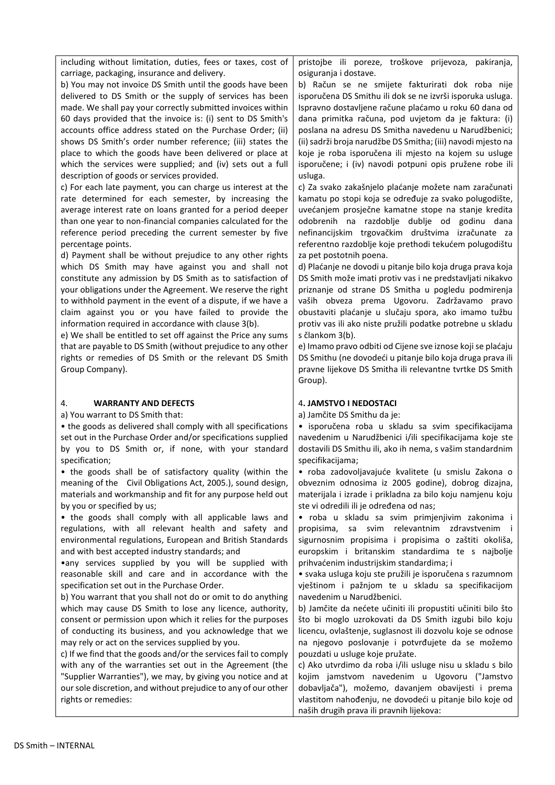including without limitation, duties, fees or taxes, cost of carriage, packaging, insurance and delivery.

b) You may not invoice DS Smith until the goods have been delivered to DS Smith or the supply of services has been made. We shall pay your correctly submitted invoices within 60 days provided that the invoice is: (i) sent to DS Smith's accounts office address stated on the Purchase Order; (ii) shows DS Smith's order number reference; (iii) states the place to which the goods have been delivered or place at which the services were supplied; and (iv) sets out a full description of goods or services provided.

c) For each late payment, you can charge us interest at the rate determined for each semester, by increasing the average interest rate on loans granted for a period deeper than one year to non-financial companies calculated for the reference period preceding the current semester by five percentage points.

d) Payment shall be without prejudice to any other rights which DS Smith may have against you and shall not constitute any admission by DS Smith as to satisfaction of your obligations under the Agreement. We reserve the right to withhold payment in the event of a dispute, if we have a claim against you or you have failed to provide the information required in accordance with clause 3(b).

e) We shall be entitled to set off against the Price any sums that are payable to DS Smith (without prejudice to any other rights or remedies of DS Smith or the relevant DS Smith Group Company).

#### 4. **WARRANTY AND DEFECTS**

a) You warrant to DS Smith that:

• the goods as delivered shall comply with all specifications set out in the Purchase Order and/or specifications supplied by you to DS Smith or, if none, with your standard specification;

• the goods shall be of satisfactory quality (within the meaning of the Civil Obligations Act, 2005.), sound design, materials and workmanship and fit for any purpose held out by you or specified by us;

• the goods shall comply with all applicable laws and regulations, with all relevant health and safety and environmental regulations, European and British Standards and with best accepted industry standards; and

•any services supplied by you will be supplied with reasonable skill and care and in accordance with the specification set out in the Purchase Order.

b) You warrant that you shall not do or omit to do anything which may cause DS Smith to lose any licence, authority, consent or permission upon which it relies for the purposes of conducting its business, and you acknowledge that we may rely or act on the services supplied by you.

c) If we find that the goods and/or the services fail to comply with any of the warranties set out in the Agreement (the "Supplier Warranties"), we may, by giving you notice and at our sole discretion, and without prejudice to any of our other rights or remedies:

pristojbe ili poreze, troškove prijevoza, pakiranja, osiguranja i dostave.

b) Račun se ne smijete fakturirati dok roba nije isporučena DS Smithu ili dok se ne izvrši isporuka usluga. Ispravno dostavljene račune plaćamo u roku 60 dana od dana primitka računa, pod uvjetom da je faktura: (i) poslana na adresu DS Smitha navedenu u Narudžbenici; (ii) sadrži broja narudžbe DS Smitha; (iii) navodi mjesto na koje je roba isporučena ili mjesto na kojem su usluge isporučene; i (iv) navodi potpuni opis pružene robe ili usluga.

c) Za svako zakašnjelo plaćanje možete nam zaračunati kamatu po stopi koja se određuje za svako polugodište, uvećanjem prosječne kamatne stope na stanje kredita odobrenih na razdoblje dublje od godinu dana nefinancijskim trgovačkim društvima izračunate za referentno razdoblje koje prethodi tekućem polugodištu za pet postotnih poena.

d) Plaćanje ne dovodi u pitanje bilo koja druga prava koja DS Smith može imati protiv vas i ne predstavljati nikakvo priznanje od strane DS Smitha u pogledu podmirenja vaših obveza prema Ugovoru. Zadržavamo pravo obustaviti plaćanje u slučaju spora, ako imamo tužbu protiv vas ili ako niste pružili podatke potrebne u skladu s člankom 3(b).

e) Imamo pravo odbiti od Cijene sve iznose koji se plaćaju DS Smithu (ne dovodeći u pitanje bilo koja druga prava ili pravne lijekove DS Smitha ili relevantne tvrtke DS Smith Group).

## 4**. JAMSTVO I NEDOSTACI**

a) Jamčite DS Smithu da je:

• isporučena roba u skladu sa svim specifikacijama navedenim u Narudžbenici i/ili specifikacijama koje ste dostavili DS Smithu ili, ako ih nema, s vašim standardnim specifikacijama;

• roba zadovoljavajuće kvalitete (u smislu Zakona o obveznim odnosima iz 2005 godine), dobrog dizajna, materijala i izrade i prikladna za bilo koju namjenu koju ste vi odredili ili je određena od nas;

• roba u skladu sa svim primjenjivim zakonima i propisima, sa svim relevantnim zdravstvenim i sigurnosnim propisima i propisima o zaštiti okoliša, europskim i britanskim standardima te s najbolje prihvaćenim industrijskim standardima; i

• svaka usluga koju ste pružili je isporučena s razumnom vještinom i pažnjom te u skladu sa specifikacijom navedenim u Narudžbenici.

b) Jamčite da nećete učiniti ili propustiti učiniti bilo što što bi moglo uzrokovati da DS Smith izgubi bilo koju licencu, ovlaštenje, suglasnost ili dozvolu koje se odnose na njegovo poslovanje i potvrđujete da se možemo pouzdati u usluge koje pružate.

c) Ako utvrdimo da roba i/ili usluge nisu u skladu s bilo kojim jamstvom navedenim u Ugovoru ("Jamstvo dobavljača"), možemo, davanjem obavijesti i prema vlastitom nahođenju, ne dovodeći u pitanje bilo koje od naših drugih prava ili pravnih lijekova: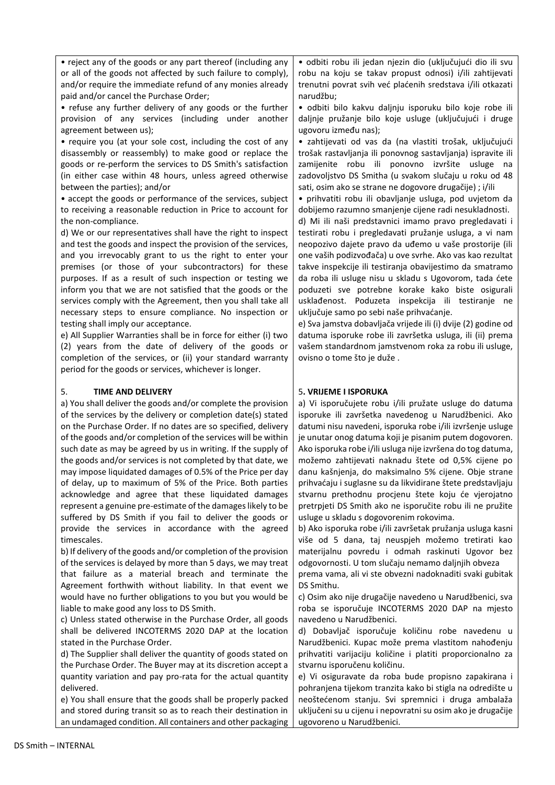• reject any of the goods or any part thereof (including any or all of the goods not affected by such failure to comply), and/or require the immediate refund of any monies already paid and/or cancel the Purchase Order;

• refuse any further delivery of any goods or the further provision of any services (including under another agreement between us);

• require you (at your sole cost, including the cost of any disassembly or reassembly) to make good or replace the goods or re-perform the services to DS Smith's satisfaction (in either case within 48 hours, unless agreed otherwise between the parties); and/or

• accept the goods or performance of the services, subject to receiving a reasonable reduction in Price to account for the non-compliance.

d) We or our representatives shall have the right to inspect and test the goods and inspect the provision of the services, and you irrevocably grant to us the right to enter your premises (or those of your subcontractors) for these purposes. If as a result of such inspection or testing we inform you that we are not satisfied that the goods or the services comply with the Agreement, then you shall take all necessary steps to ensure compliance. No inspection or testing shall imply our acceptance.

e) All Supplier Warranties shall be in force for either (i) two (2) years from the date of delivery of the goods or completion of the services, or (ii) your standard warranty period for the goods or services, whichever is longer.

### 5. **TIME AND DELIVERY**

a) You shall deliver the goods and/or complete the provision of the services by the delivery or completion date(s) stated on the Purchase Order. If no dates are so specified, delivery of the goods and/or completion of the services will be within such date as may be agreed by us in writing. If the supply of the goods and/or services is not completed by that date, we may impose liquidated damages of 0.5% of the Price per day of delay, up to maximum of 5% of the Price. Both parties acknowledge and agree that these liquidated damages represent a genuine pre-estimate of the damages likely to be suffered by DS Smith if you fail to deliver the goods or provide the services in accordance with the agreed timescales.

b) If delivery of the goods and/or completion of the provision of the services is delayed by more than 5 days, we may treat that failure as a material breach and terminate the Agreement forthwith without liability. In that event we would have no further obligations to you but you would be liable to make good any loss to DS Smith.

c) Unless stated otherwise in the Purchase Order, all goods shall be delivered INCOTERMS 2020 DAP at the location stated in the Purchase Order.

d) The Supplier shall deliver the quantity of goods stated on the Purchase Order. The Buyer may at its discretion accept a quantity variation and pay pro-rata for the actual quantity delivered.

e) You shall ensure that the goods shall be properly packed and stored during transit so as to reach their destination in an undamaged condition. All containers and other packaging • odbiti robu ili jedan njezin dio (uključujući dio ili svu robu na koju se takav propust odnosi) i/ili zahtijevati trenutni povrat svih već plaćenih sredstava i/ili otkazati narudžbu;

• odbiti bilo kakvu daljnju isporuku bilo koje robe ili daljnje pružanje bilo koje usluge (uključujući i druge ugovoru između nas);

• zahtijevati od vas da (na vlastiti trošak, uključujući trošak rastavljanja ili ponovnog sastavljanja) ispravite ili zamijenite robu ili ponovno izvršite usluge na zadovoljstvo DS Smitha (u svakom slučaju u roku od 48 sati, osim ako se strane ne dogovore drugačije) ; i/ili

• prihvatiti robu ili obavljanje usluga, pod uvjetom da dobijemo razumno smanjenje cijene radi nesukladnosti. d) Mi ili naši predstavnici imamo pravo pregledavati i testirati robu i pregledavati pružanje usluga, a vi nam

neopozivo dajete pravo da uđemo u vaše prostorije (ili one vaših podizvođača) u ove svrhe. Ako vas kao rezultat takve inspekcije ili testiranja obavijestimo da smatramo da roba ili usluge nisu u skladu s Ugovorom, tada ćete poduzeti sve potrebne korake kako biste osigurali usklađenost. Poduzeta inspekcija ili testiranje ne uključuje samo po sebi naše prihvaćanje.

e) Sva jamstva dobavljača vrijede ili (i) dvije (2) godine od datuma isporuke robe ili završetka usluga, ili (ii) prema vašem standardnom jamstvenom roka za robu ili usluge, ovisno o tome što je duže .

# 5**. VRIJEME I ISPORUKA**

a) Vi isporučujete robu i/ili pružate usluge do datuma isporuke ili završetka navedenog u Narudžbenici. Ako datumi nisu navedeni, isporuka robe i/ili izvršenje usluge je unutar onog datuma koji je pisanim putem dogovoren. Ako isporuka robe i/ili usluga nije izvršena do tog datuma, možemo zahtijevati naknadu štete od 0,5% cijene po danu kašnjenja, do maksimalno 5% cijene. Obje strane prihvaćaju i suglasne su da likvidirane štete predstavljaju stvarnu prethodnu procjenu štete koju će vjerojatno pretrpjeti DS Smith ako ne isporučite robu ili ne pružite usluge u skladu s dogovorenim rokovima.

b) Ako isporuka robe i/ili završetak pružanja usluga kasni više od 5 dana, taj neuspjeh možemo tretirati kao materijalnu povredu i odmah raskinuti Ugovor bez odgovornosti. U tom slučaju nemamo daljnjih obveza

prema vama, ali vi ste obvezni nadoknaditi svaki gubitak DS Smithu.

c) Osim ako nije drugačije navedeno u Narudžbenici, sva roba se isporučuje INCOTERMS 2020 DAP na mjesto navedeno u Narudžbenici.

d) Dobavljač isporučuje količinu robe navedenu u Narudžbenici. Kupac može prema vlastitom nahođenju prihvatiti varijaciju količine i platiti proporcionalno za stvarnu isporučenu količinu.

e) Vi osiguravate da roba bude propisno zapakirana i pohranjena tijekom tranzita kako bi stigla na odredište u neoštećenom stanju. Svi spremnici i druga ambalaža uključeni su u cijenu i nepovratni su osim ako je drugačije ugovoreno u Narudžbenici.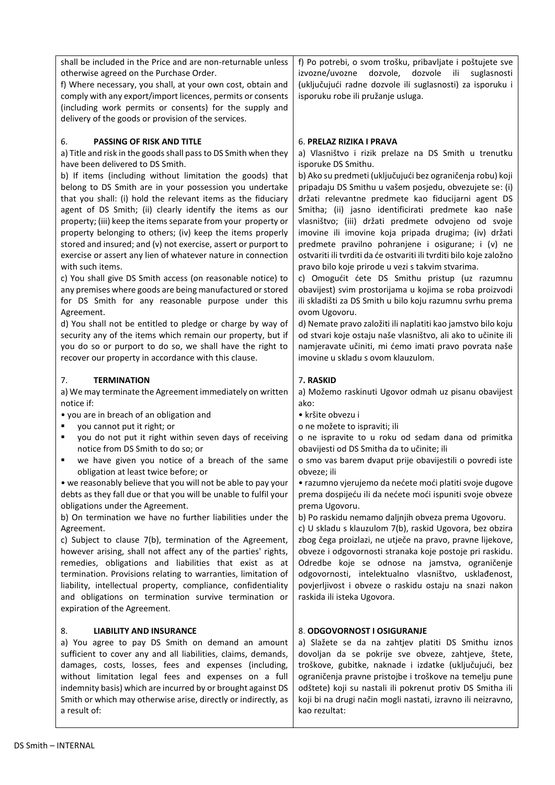| shall be included in the Price and are non-returnable unless<br>otherwise agreed on the Purchase Order.<br>f) Where necessary, you shall, at your own cost, obtain and<br>comply with any export/import licences, permits or consents<br>(including work permits or consents) for the supply and<br>delivery of the goods or provision of the services.                                                                                                                                                                                                                                                                                                                                                                                                                                                                                                                                                                                                                                                                                                                                                                            | f) Po potrebi, o svom trošku, pribavljate i poštujete sve<br>izvozne/uvozne<br>dozvole,<br>dozvole ili<br>suglasnosti<br>(uključujući radne dozvole ili suglasnosti) za isporuku i<br>isporuku robe ili pružanje usluga.                                                                                                                                                                                                                                                                                                                                                                                                                                                                                                                                                                                                                                                                                                                                                                                                                                                    |
|------------------------------------------------------------------------------------------------------------------------------------------------------------------------------------------------------------------------------------------------------------------------------------------------------------------------------------------------------------------------------------------------------------------------------------------------------------------------------------------------------------------------------------------------------------------------------------------------------------------------------------------------------------------------------------------------------------------------------------------------------------------------------------------------------------------------------------------------------------------------------------------------------------------------------------------------------------------------------------------------------------------------------------------------------------------------------------------------------------------------------------|-----------------------------------------------------------------------------------------------------------------------------------------------------------------------------------------------------------------------------------------------------------------------------------------------------------------------------------------------------------------------------------------------------------------------------------------------------------------------------------------------------------------------------------------------------------------------------------------------------------------------------------------------------------------------------------------------------------------------------------------------------------------------------------------------------------------------------------------------------------------------------------------------------------------------------------------------------------------------------------------------------------------------------------------------------------------------------|
| PASSING OF RISK AND TITLE<br>6.<br>a) Title and risk in the goods shall pass to DS Smith when they<br>have been delivered to DS Smith.<br>b) If items (including without limitation the goods) that<br>belong to DS Smith are in your possession you undertake<br>that you shall: (i) hold the relevant items as the fiduciary<br>agent of DS Smith; (ii) clearly identify the items as our<br>property; (iii) keep the items separate from your property or<br>property belonging to others; (iv) keep the items properly<br>stored and insured; and (v) not exercise, assert or purport to<br>exercise or assert any lien of whatever nature in connection<br>with such items.<br>c) You shall give DS Smith access (on reasonable notice) to<br>any premises where goods are being manufactured or stored<br>for DS Smith for any reasonable purpose under this<br>Agreement.<br>d) You shall not be entitled to pledge or charge by way of<br>security any of the items which remain our property, but if<br>you do so or purport to do so, we shall have the right to<br>recover our property in accordance with this clause. | 6. PRELAZ RIZIKA I PRAVA<br>a) Vlasništvo i rizik prelaze na DS Smith u trenutku<br>isporuke DS Smithu.<br>b) Ako su predmeti (uključujući bez ograničenja robu) koji<br>pripadaju DS Smithu u vašem posjedu, obvezujete se: (i)<br>držati relevantne predmete kao fiducijarni agent DS<br>Smitha; (ii) jasno identificirati predmete kao naše<br>vlasništvo; (iii) držati predmete odvojeno od svoje<br>imovine ili imovine koja pripada drugima; (iv) držati<br>predmete pravilno pohranjene i osigurane; i (v) ne<br>ostvariti ili tvrditi da će ostvariti ili tvrditi bilo koje založno<br>pravo bilo koje prirode u vezi s takvim stvarima.<br>c) Omogućit ćete DS Smithu pristup (uz razumnu<br>obavijest) svim prostorijama u kojima se roba proizvodi<br>ili skladišti za DS Smith u bilo koju razumnu svrhu prema<br>ovom Ugovoru.<br>d) Nemate pravo založiti ili naplatiti kao jamstvo bilo koju<br>od stvari koje ostaju naše vlasništvo, ali ako to učinite ili<br>namjeravate učiniti, mi ćemo imati pravo povrata naše<br>imovine u skladu s ovom klauzulom. |
| <b>TERMINATION</b><br>7.<br>a) We may terminate the Agreement immediately on written<br>notice if:<br>• you are in breach of an obligation and<br>you cannot put it right; or<br>٠<br>you do not put it right within seven days of receiving<br>٠<br>notice from DS Smith to do so; or<br>we have given you notice of a breach of the same<br>٠<br>obligation at least twice before; or<br>• we reasonably believe that you will not be able to pay your<br>debts as they fall due or that you will be unable to fulfil your<br>obligations under the Agreement.<br>b) On termination we have no further liabilities under the<br>Agreement.<br>c) Subject to clause 7(b), termination of the Agreement,<br>however arising, shall not affect any of the parties' rights,<br>remedies, obligations and liabilities that exist as at<br>termination. Provisions relating to warranties, limitation of<br>liability, intellectual property, compliance, confidentiality<br>and obligations on termination survive termination or<br>expiration of the Agreement.                                                                     | 7. RASKID<br>a) Možemo raskinuti Ugovor odmah uz pisanu obavijest<br>ako:<br>· kršite obvezu i<br>o ne možete to ispraviti; ili<br>o ne ispravite to u roku od sedam dana od primitka<br>obavijesti od DS Smitha da to učinite; ili<br>o smo vas barem dvaput prije obavijestili o povredi iste<br>obveze; ili<br>• razumno vjerujemo da nećete moći platiti svoje dugove<br>prema dospijeću ili da nećete moći ispuniti svoje obveze<br>prema Ugovoru.<br>b) Po raskidu nemamo daljnjih obveza prema Ugovoru.<br>c) U skladu s klauzulom 7(b), raskid Ugovora, bez obzira<br>zbog čega proizlazi, ne utječe na pravo, pravne lijekove,<br>obveze i odgovornosti stranaka koje postoje pri raskidu.<br>Odredbe koje se odnose na jamstva, ograničenje<br>odgovornosti, intelektualno vlasništvo, usklađenost,<br>povjerljivost i obveze o raskidu ostaju na snazi nakon<br>raskida ili isteka Ugovora.                                                                                                                                                                      |
| 8.<br><b>LIABILITY AND INSURANCE</b><br>a) You agree to pay DS Smith on demand an amount<br>sufficient to cover any and all liabilities, claims, demands,<br>damages, costs, losses, fees and expenses (including,<br>without limitation legal fees and expenses on a full<br>indemnity basis) which are incurred by or brought against DS<br>Smith or which may otherwise arise, directly or indirectly, as<br>a result of:                                                                                                                                                                                                                                                                                                                                                                                                                                                                                                                                                                                                                                                                                                       | 8. ODGOVORNOST I OSIGURANJE<br>a) Slažete se da na zahtjev platiti DS Smithu iznos<br>dovoljan da se pokrije sve obveze, zahtjeve, štete,<br>troškove, gubitke, naknade i izdatke (uključujući, bez<br>ograničenja pravne pristojbe i troškove na temelju pune<br>odštete) koji su nastali ili pokrenut protiv DS Smitha ili<br>koji bi na drugi način mogli nastati, izravno ili neizravno,<br>kao rezultat:                                                                                                                                                                                                                                                                                                                                                                                                                                                                                                                                                                                                                                                               |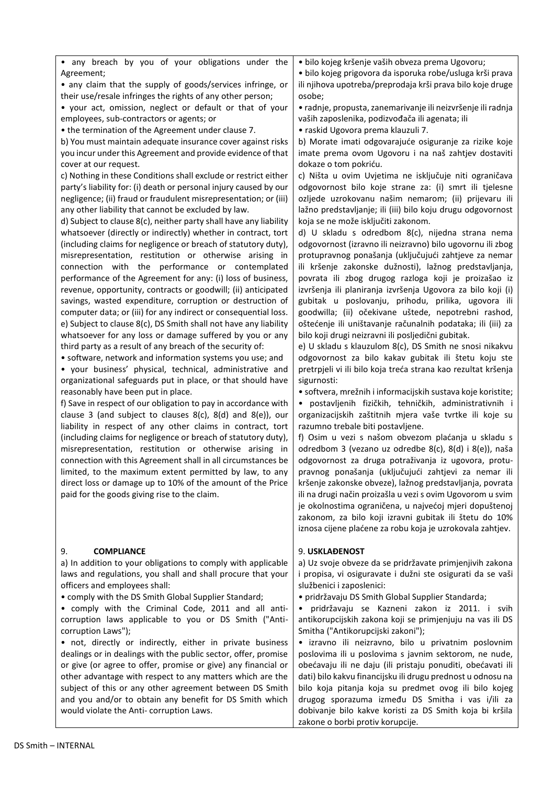## • any breach by you of your obligations under the Agreement;

• any claim that the supply of goods/services infringe, or their use/resale infringes the rights of any other person;

• your act, omission, neglect or default or that of your employees, sub-contractors or agents; or

• the termination of the Agreement under clause 7.

b) You must maintain adequate insurance cover against risks you incur under this Agreement and provide evidence of that cover at our request.

c) Nothing in these Conditions shall exclude or restrict either party's liability for: (i) death or personal injury caused by our negligence; (ii) fraud or fraudulent misrepresentation; or (iii) any other liability that cannot be excluded by law.

d) Subject to clause 8(c), neither party shall have any liability whatsoever (directly or indirectly) whether in contract, tort (including claims for negligence or breach of statutory duty), misrepresentation, restitution or otherwise arising in connection with the performance or contemplated performance of the Agreement for any: (i) loss of business, revenue, opportunity, contracts or goodwill; (ii) anticipated savings, wasted expenditure, corruption or destruction of computer data; or (iii) for any indirect or consequential loss. e) Subject to clause 8(c), DS Smith shall not have any liability whatsoever for any loss or damage suffered by you or any third party as a result of any breach of the security of:

• software, network and information systems you use; and

• your business' physical, technical, administrative and organizational safeguards put in place, or that should have reasonably have been put in place.

f) Save in respect of our obligation to pay in accordance with clause 3 (and subject to clauses 8(c), 8(d) and 8(e)), our liability in respect of any other claims in contract, tort (including claims for negligence or breach of statutory duty), misrepresentation, restitution or otherwise arising in connection with this Agreement shall in all circumstances be limited, to the maximum extent permitted by law, to any direct loss or damage up to 10% of the amount of the Price paid for the goods giving rise to the claim.

## 9. **COMPLIANCE**

a) In addition to your obligations to comply with applicable laws and regulations, you shall and shall procure that your officers and employees shall:

• comply with the DS Smith Global Supplier Standard;

• comply with the Criminal Code, 2011 and all anticorruption laws applicable to you or DS Smith ("Anticorruption Laws");

• not, directly or indirectly, either in private business dealings or in dealings with the public sector, offer, promise or give (or agree to offer, promise or give) any financial or other advantage with respect to any matters which are the subject of this or any other agreement between DS Smith and you and/or to obtain any benefit for DS Smith which would violate the Anti- corruption Laws.

• bilo kojeg kršenje vaših obveza prema Ugovoru;

• bilo kojeg prigovora da isporuka robe/usluga krši prava ili njihova upotreba/preprodaja krši prava bilo koje druge osobe;

• radnje, propusta, zanemarivanje ili neizvršenje ili radnja vaših zaposlenika, podizvođača ili agenata; ili • raskid Ugovora prema klauzuli 7.

b) Morate imati odgovarajuće osiguranje za rizike koje imate prema ovom Ugovoru i na naš zahtjev dostaviti dokaze o tom pokriću.

c) Ništa u ovim Uvjetima ne isključuje niti ograničava odgovornost bilo koje strane za: (i) smrt ili tjelesne ozljede uzrokovanu našim nemarom; (ii) prijevaru ili lažno predstavljanje; ili (iii) bilo koju drugu odgovornost koja se ne može isključiti zakonom.

d) U skladu s odredbom 8(c), nijedna strana nema odgovornost (izravno ili neizravno) bilo ugovornu ili zbog protupravnog ponašanja (uključujući zahtjeve za nemar ili kršenje zakonske dužnosti), lažnog predstavljanja, povrata ili zbog drugog razloga koji je proizašao iz izvršenja ili planiranja izvršenja Ugovora za bilo koji (i) gubitak u poslovanju, prihodu, prilika, ugovora ili goodwilla; (ii) očekivane uštede, nepotrebni rashod, oštećenje ili uništavanje računalnih podataka; ili (iii) za bilo koji drugi neizravni ili posljedični gubitak.

e) U skladu s klauzulom 8(c), DS Smith ne snosi nikakvu odgovornost za bilo kakav gubitak ili štetu koju ste pretrpjeli vi ili bilo koja treća strana kao rezultat kršenja sigurnosti:

• softvera, mrežnih i informacijskih sustava koje koristite; • postavljenih fizičkih, tehničkih, administrativnih i organizacijskih zaštitnih mjera vaše tvrtke ili koje su razumno trebale biti postavljene.

f) Osim u vezi s našom obvezom plaćanja u skladu s odredbom 3 (vezano uz odredbe 8(c), 8(d) i 8(e)), naša odgovornost za druga potraživanja iz ugovora, protupravnog ponašanja (uključujući zahtjevi za nemar ili kršenje zakonske obveze), lažnog predstavljanja, povrata ili na drugi način proizašla u vezi s ovim Ugovorom u svim je okolnostima ograničena, u najvećoj mjeri dopuštenoj zakonom, za bilo koji izravni gubitak ili štetu do 10% iznosa cijene plaćene za robu koja je uzrokovala zahtjev.

#### 9. **USKLAĐENOST**

a) Uz svoje obveze da se pridržavate primjenjivih zakona i propisa, vi osiguravate i dužni ste osigurati da se vaši službenici i zaposlenici:

• pridržavaju DS Smith Global Supplier Standarda;

• pridržavaju se Kazneni zakon iz 2011. i svih antikorupcijskih zakona koji se primjenjuju na vas ili DS Smitha ("Antikorupcijski zakoni");

• izravno ili neizravno, bilo u privatnim poslovnim poslovima ili u poslovima s javnim sektorom, ne nude, obećavaju ili ne daju (ili pristaju ponuditi, obećavati ili dati) bilo kakvu financijsku ili drugu prednost u odnosu na bilo koja pitanja koja su predmet ovog ili bilo kojeg drugog sporazuma između DS Smitha i vas i/ili za dobivanje bilo kakve koristi za DS Smith koja bi kršila zakone o borbi protiv korupcije.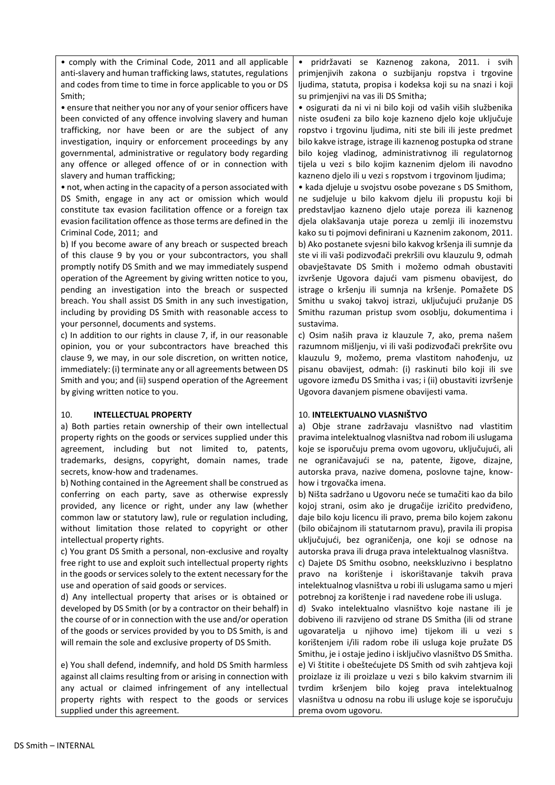• comply with the Criminal Code, 2011 and all applicable anti-slavery and human trafficking laws, statutes, regulations and codes from time to time in force applicable to you or DS Smith;

• ensure that neither you nor any of your senior officers have been convicted of any offence involving slavery and human trafficking, nor have been or are the subject of any investigation, inquiry or enforcement proceedings by any governmental, administrative or regulatory body regarding any offence or alleged offence of or in connection with slavery and human trafficking;

• not, when acting in the capacity of a person associated with DS Smith, engage in any act or omission which would constitute tax evasion facilitation offence or a foreign tax evasion facilitation offence as those terms are defined in the Criminal Code, 2011; and

b) If you become aware of any breach or suspected breach of this clause 9 by you or your subcontractors, you shall promptly notify DS Smith and we may immediately suspend operation of the Agreement by giving written notice to you, pending an investigation into the breach or suspected breach. You shall assist DS Smith in any such investigation, including by providing DS Smith with reasonable access to your personnel, documents and systems.

c) In addition to our rights in clause 7, if, in our reasonable opinion, you or your subcontractors have breached this clause 9, we may, in our sole discretion, on written notice, immediately: (i) terminate any or all agreements between DS Smith and you; and (ii) suspend operation of the Agreement by giving written notice to you.

#### 10. **INTELLECTUAL PROPERTY**

a) Both parties retain ownership of their own intellectual property rights on the goods or services supplied under this agreement, including but not limited to, patents, trademarks, designs, copyright, domain names, trade secrets, know-how and tradenames.

b) Nothing contained in the Agreement shall be construed as conferring on each party, save as otherwise expressly provided, any licence or right, under any law (whether common law or statutory law), rule or regulation including, without limitation those related to copyright or other intellectual property rights.

c) You grant DS Smith a personal, non-exclusive and royalty free right to use and exploit such intellectual property rights in the goods or services solely to the extent necessary for the use and operation of said goods or services.

d) Any intellectual property that arises or is obtained or developed by DS Smith (or by a contractor on their behalf) in the course of or in connection with the use and/or operation of the goods or services provided by you to DS Smith, is and will remain the sole and exclusive property of DS Smith.

e) You shall defend, indemnify, and hold DS Smith harmless against all claims resulting from or arising in connection with any actual or claimed infringement of any intellectual property rights with respect to the goods or services supplied under this agreement.

• pridržavati se Kaznenog zakona, 2011. i svih primjenjivih zakona o suzbijanju ropstva i trgovine ljudima, statuta, propisa i kodeksa koji su na snazi i koji su primjenjivi na vas ili DS Smitha;

• osigurati da ni vi ni bilo koji od vaših viših službenika niste osuđeni za bilo koje kazneno djelo koje uključuje ropstvo i trgovinu ljudima, niti ste bili ili jeste predmet bilo kakve istrage, istrage ili kaznenog postupka od strane bilo kojeg vladinog, administrativnog ili regulatornog tijela u vezi s bilo kojim kaznenim djelom ili navodno kazneno djelo ili u vezi s ropstvom i trgovinom ljudima;

• kada djeluje u svojstvu osobe povezane s DS Smithom, ne sudjeluje u bilo kakvom djelu ili propustu koji bi predstavljao kazneno djelo utaje poreza ili kaznenog djela olakšavanja utaje poreza u zemlji ili inozemstvu kako su ti pojmovi definirani u Kaznenim zakonom, 2011. b) Ako postanete svjesni bilo kakvog kršenja ili sumnje da ste vi ili vaši podizvođači prekršili ovu klauzulu 9, odmah obavještavate DS Smith i možemo odmah obustaviti izvršenje Ugovora dajući vam pismenu obavijest, do istrage o kršenju ili sumnja na kršenje. Pomažete DS Smithu u svakoj takvoj istrazi, uključujući pružanje DS Smithu razuman pristup svom osoblju, dokumentima i sustavima.

c) Osim naših prava iz klauzule 7, ako, prema našem razumnom mišljenju, vi ili vaši podizvođači prekršite ovu klauzulu 9, možemo, prema vlastitom nahođenju, uz pisanu obavijest, odmah: (i) raskinuti bilo koji ili sve ugovore između DS Smitha i vas; i (ii) obustaviti izvršenje Ugovora davanjem pismene obavijesti vama.

## 10. **INTELEKTUALNO VLASNIŠTVO**

a) Obje strane zadržavaju vlasništvo nad vlastitim pravima intelektualnog vlasništva nad robom ili uslugama koje se isporučuju prema ovom ugovoru, uključujući, ali ne ograničavajući se na, patente, žigove, dizajne, autorska prava, nazive domena, poslovne tajne, knowhow i trgovačka imena.

b) Ništa sadržano u Ugovoru neće se tumačiti kao da bilo kojoj strani, osim ako je drugačije izričito predviđeno, daje bilo koju licencu ili pravo, prema bilo kojem zakonu (bilo običajnom ili statutarnom pravu), pravila ili propisa uključujući, bez ograničenja, one koji se odnose na autorska prava ili druga prava intelektualnog vlasništva. c) Dajete DS Smithu osobno, neekskluzivno i besplatno pravo na korištenje i iskorištavanje takvih prava intelektualnog vlasništva u robi ili uslugama samo u mjeri potrebnoj za korištenje i rad navedene robe ili usluga.

d) Svako intelektualno vlasništvo koje nastane ili je dobiveno ili razvijeno od strane DS Smitha (ili od strane ugovaratelja u njihovo ime) tijekom ili u vezi s korištenjem i/ili radom robe ili usluga koje pružate DS Smithu, je i ostaje jedino i isključivo vlasništvo DS Smitha. e) Vi štitite i obeštećujete DS Smith od svih zahtjeva koji proizlaze iz ili proizlaze u vezi s bilo kakvim stvarnim ili tvrdim kršenjem bilo kojeg prava intelektualnog vlasništva u odnosu na robu ili usluge koje se isporučuju prema ovom ugovoru.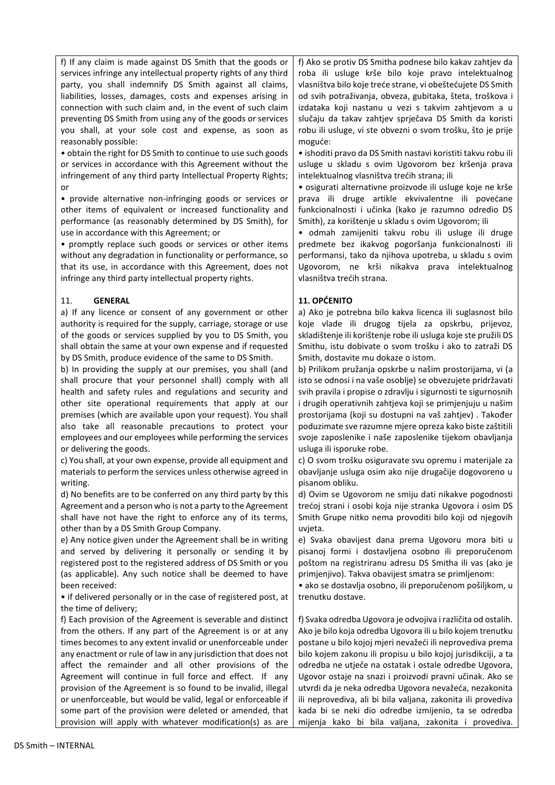f) If any claim is made against DS Smith that the goods or services infringe any intellectual property rights of any third party, you shall indemnify DS Smith against all claims, liabilities, losses, damages, costs and expenses arising in connection with such claim and, in the event of such claim preventing DS Smith from using any of the goods or services you shall, at your sole cost and expense, as soon as reasonably possible:

• obtain the right for DS Smith to continue to use such goods or services in accordance with this Agreement without the infringement of any third party Intellectual Property Rights; or

• provide alternative non-infringing goods or services or other items of equivalent or increased functionality and performance (as reasonably determined by DS Smith), for use in accordance with this Agreement; or

• promptly replace such goods or services or other items without any degradation in functionality or performance, so that its use, in accordance with this Agreement, does not infringe any third party intellectual property rights.

#### 11. **GENERAL**

a) If any licence or consent of any government or other authority is required for the supply, carriage, storage or use of the goods or services supplied by you to DS Smith, you shall obtain the same at your own expense and if requested by DS Smith, produce evidence of the same to DS Smith.

b) In providing the supply at our premises, you shall (and shall procure that your personnel shall) comply with all health and safety rules and regulations and security and other site operational requirements that apply at our premises (which are available upon your request). You shall also take all reasonable precautions to protect your employees and our employees while performing the services or delivering the goods.

c) You shall, at your own expense, provide all equipment and materials to perform the services unless otherwise agreed in writing.

d) No benefits are to be conferred on any third party by this Agreement and a person who is not a party to the Agreement shall have not have the right to enforce any of its terms, other than by a DS Smith Group Company.

e) Any notice given under the Agreement shall be in writing and served by delivering it personally or sending it by registered post to the registered address of DS Smith or you (as applicable). Any such notice shall be deemed to have been received:

• if delivered personally or in the case of registered post, at the time of delivery;

f) Each provision of the Agreement is severable and distinct from the others. If any part of the Agreement is or at any times becomes to any extent invalid or unenforceable under any enactment or rule of law in any jurisdiction that does not affect the remainder and all other provisions of the Agreement will continue in full force and effect. If any provision of the Agreement is so found to be invalid, illegal or unenforceable, but would be valid, legal or enforceable if some part of the provision were deleted or amended, that provision will apply with whatever modification(s) as are f) Ako se protiv DS Smitha podnese bilo kakav zahtjev da roba ili usluge krše bilo koje pravo intelektualnog vlasništva bilo koje treće strane, vi obeštećujete DS Smith od svih potraživanja, obveza, gubitaka, šteta, troškova i izdataka koji nastanu u vezi s takvim zahtjevom a u slučaju da takav zahtjev sprječava DS Smith da koristi robu ili usluge, vi ste obvezni o svom trošku, što je prije moguće:

• ishoditi pravo da DS Smith nastavi koristiti takvu robu ili usluge u skladu s ovim Ugovorom bez kršenja prava intelektualnog vlasništva trećih strana; ili

• osigurati alternativne proizvode ili usluge koje ne krše prava ili druge artikle ekvivalentne ili povećane funkcionalnosti i učinka (kako je razumno odredio DS Smith), za korištenje u skladu s ovim Ugovorom; ili

• odmah zamijeniti takvu robu ili usluge ili druge predmete bez ikakvog pogoršanja funkcionalnosti ili performansi, tako da njihova upotreba, u skladu s ovim Ugovorom, ne krši nikakva prava intelektualnog vlasništva trećih strana.

## **11. OPĆENITO**

a) Ako je potrebna bilo kakva licenca ili suglasnost bilo koje vlade ili drugog tijela za opskrbu, prijevoz, skladištenje ili korištenje robe ili usluga koje ste pružili DS Smithu, istu dobivate o svom trošku i ako to zatraži DS Smith, dostavite mu dokaze o istom.

b) Prilikom pružanja opskrbe u našim prostorijama, vi (a isto se odnosi i na vaše osoblje) se obvezujete pridržavati svih pravila i propise o zdravlju i sigurnosti te sigurnosnih i drugih operativnih zahtjeva koji se primjenjuju u našim prostorijama (koji su dostupni na vaš zahtjev) . Također poduzimate sve razumne mjere opreza kako biste zaštitili svoje zaposlenike i naše zaposlenike tijekom obavljanja usluga ili isporuke robe.

c) O svom trošku osiguravate svu opremu i materijale za obavljanje usluga osim ako nije drugačije dogovoreno u pisanom obliku.

d) Ovim se Ugovorom ne smiju dati nikakve pogodnosti trećoj strani i osobi koja nije stranka Ugovora i osim DS Smith Grupe nitko nema provoditi bilo koji od njegovih uvjeta.

e) Svaka obavijest dana prema Ugovoru mora biti u pisanoj formi i dostavljena osobno ili preporučenom poštom na registriranu adresu DS Smitha ili vas (ako je primjenjivo). Takva obavijest smatra se primljenom:

• ako se dostavlja osobno, ili preporučenom pošiljkom, u trenutku dostave.

f) Svaka odredba Ugovora je odvojiva i različita od ostalih. Ako je bilo koja odredba Ugovora ili u bilo kojem trenutku postane u bilo kojoj mjeri nevažeći ili neprovediva prema bilo kojem zakonu ili propisu u bilo kojoj jurisdikciji, a ta odredba ne utječe na ostatak i ostale odredbe Ugovora, Ugovor ostaje na snazi i proizvodi pravni učinak. Ako se utvrdi da je neka odredba Ugovora nevažeća, nezakonita ili neprovediva, ali bi bila valjana, zakonita ili provediva kada bi se neki dio odredbe izmijenio, ta se odredba mijenja kako bi bila valjana, zakonita i provediva.